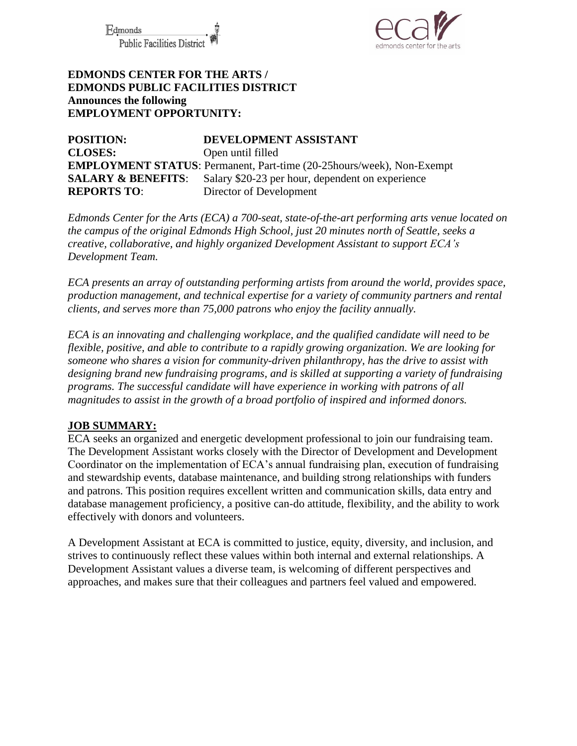Fdmonds **Public Facilities Distric** 



## **EDMONDS CENTER FOR THE ARTS / EDMONDS PUBLIC FACILITIES DISTRICT Announces the following EMPLOYMENT OPPORTUNITY:**

**POSITION: DEVELOPMENT ASSISTANT CLOSES:** Open until filled **EMPLOYMENT STATUS**: Permanent, Part-time (20-25hours/week), Non-Exempt **SALARY & BENEFITS:** Salary \$20-23 per hour, dependent on experience **REPORTS TO**: Director of Development

*Edmonds Center for the Arts (ECA) a 700-seat, state-of-the-art performing arts venue located on the campus of the original Edmonds High School, just 20 minutes north of Seattle, seeks a creative, collaborative, and highly organized Development Assistant to support ECA's Development Team.*

*ECA presents an array of outstanding performing artists from around the world, provides space, production management, and technical expertise for a variety of community partners and rental clients, and serves more than 75,000 patrons who enjoy the facility annually.* 

*ECA is an innovating and challenging workplace, and the qualified candidate will need to be flexible, positive, and able to contribute to a rapidly growing organization. We are looking for someone who shares a vision for community-driven philanthropy, has the drive to assist with designing brand new fundraising programs, and is skilled at supporting a variety of fundraising programs. The successful candidate will have experience in working with patrons of all magnitudes to assist in the growth of a broad portfolio of inspired and informed donors.*

### **JOB SUMMARY:**

ECA seeks an organized and energetic development professional to join our fundraising team. The Development Assistant works closely with the Director of Development and Development Coordinator on the implementation of ECA's annual fundraising plan, execution of fundraising and stewardship events, database maintenance, and building strong relationships with funders and patrons. This position requires excellent written and communication skills, data entry and database management proficiency, a positive can-do attitude, flexibility, and the ability to work effectively with donors and volunteers.

A Development Assistant at ECA is committed to justice, equity, diversity, and inclusion, and strives to continuously reflect these values within both internal and external relationships. A Development Assistant values a diverse team, is welcoming of different perspectives and approaches, and makes sure that their colleagues and partners feel valued and empowered.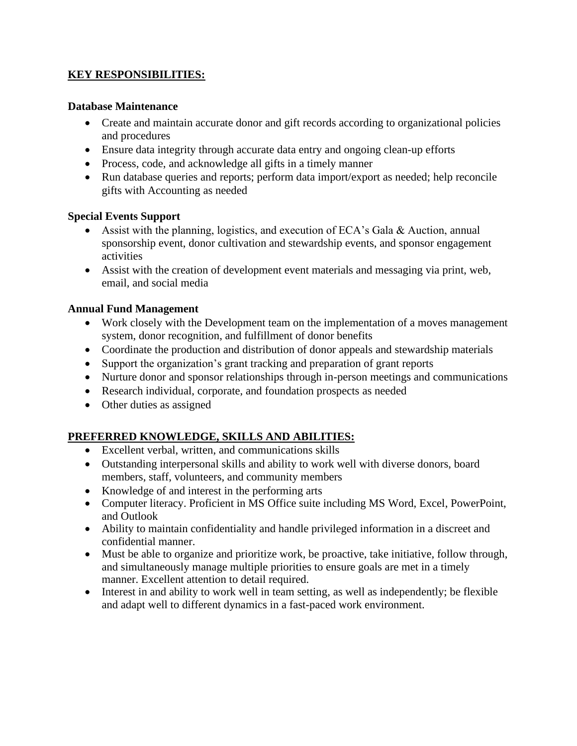## **KEY RESPONSIBILITIES:**

#### **Database Maintenance**

- Create and maintain accurate donor and gift records according to organizational policies and procedures
- Ensure data integrity through accurate data entry and ongoing clean-up efforts
- Process, code, and acknowledge all gifts in a timely manner
- Run database queries and reports; perform data import/export as needed; help reconcile gifts with Accounting as needed

### **Special Events Support**

- Assist with the planning, logistics, and execution of ECA's Gala & Auction, annual sponsorship event, donor cultivation and stewardship events, and sponsor engagement activities
- Assist with the creation of development event materials and messaging via print, web, email, and social media

# **Annual Fund Management**

- Work closely with the Development team on the implementation of a moves management system, donor recognition, and fulfillment of donor benefits
- Coordinate the production and distribution of donor appeals and stewardship materials
- Support the organization's grant tracking and preparation of grant reports
- Nurture donor and sponsor relationships through in-person meetings and communications
- Research individual, corporate, and foundation prospects as needed
- Other duties as assigned

# **PREFERRED KNOWLEDGE, SKILLS AND ABILITIES:**

- Excellent verbal, written, and communications skills
- Outstanding interpersonal skills and ability to work well with diverse donors, board members, staff, volunteers, and community members
- Knowledge of and interest in the performing arts
- Computer literacy. Proficient in MS Office suite including MS Word, Excel, PowerPoint, and Outlook
- Ability to maintain confidentiality and handle privileged information in a discreet and confidential manner.
- Must be able to organize and prioritize work, be proactive, take initiative, follow through, and simultaneously manage multiple priorities to ensure goals are met in a timely manner. Excellent attention to detail required.
- Interest in and ability to work well in team setting, as well as independently; be flexible and adapt well to different dynamics in a fast-paced work environment.